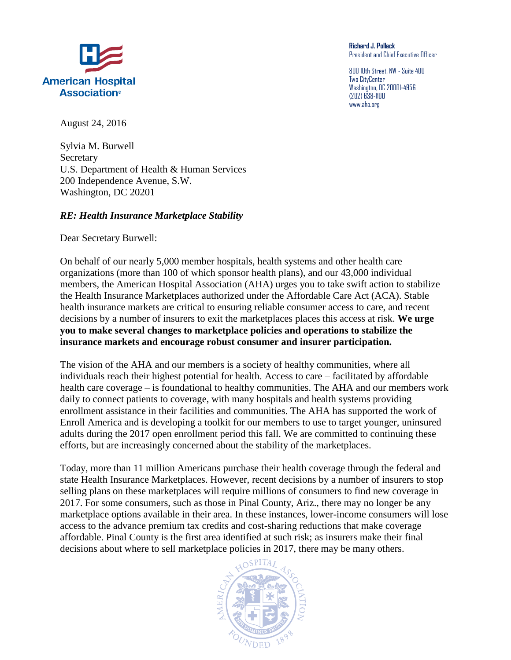

**Richard J. Pollack** President and Chief Executive Officer

800 10th Street, NW - Suite 400 Two CityCenter Washington, DC 20001-4956 (202) 638-1100 www.aha.org

August 24, 2016

Sylvia M. Burwell **Secretary** U.S. Department of Health & Human Services 200 Independence Avenue, S.W. Washington, DC 20201

## *RE: Health Insurance Marketplace Stability*

Dear Secretary Burwell:

On behalf of our nearly 5,000 member hospitals, health systems and other health care organizations (more than 100 of which sponsor health plans), and our 43,000 individual members, the American Hospital Association (AHA) urges you to take swift action to stabilize the Health Insurance Marketplaces authorized under the Affordable Care Act (ACA). Stable health insurance markets are critical to ensuring reliable consumer access to care, and recent decisions by a number of insurers to exit the marketplaces places this access at risk. **We urge you to make several changes to marketplace policies and operations to stabilize the insurance markets and encourage robust consumer and insurer participation.**

The vision of the AHA and our members is a society of healthy communities, where all individuals reach their highest potential for health. Access to care – facilitated by affordable health care coverage – is foundational to healthy communities. The AHA and our members work daily to connect patients to coverage, with many hospitals and health systems providing enrollment assistance in their facilities and communities. The AHA has supported the work of Enroll America and is developing a toolkit for our members to use to target younger, uninsured adults during the 2017 open enrollment period this fall. We are committed to continuing these efforts, but are increasingly concerned about the stability of the marketplaces.

Today, more than 11 million Americans purchase their health coverage through the federal and state Health Insurance Marketplaces. However, recent decisions by a number of insurers to stop selling plans on these marketplaces will require millions of consumers to find new coverage in 2017. For some consumers, such as those in Pinal County, Ariz., there may no longer be any marketplace options available in their area. In these instances, lower-income consumers will lose access to the advance premium tax credits and cost-sharing reductions that make coverage affordable. Pinal County is the first area identified at such risk; as insurers make their final decisions about where to sell marketplace policies in 2017, there may be many others.

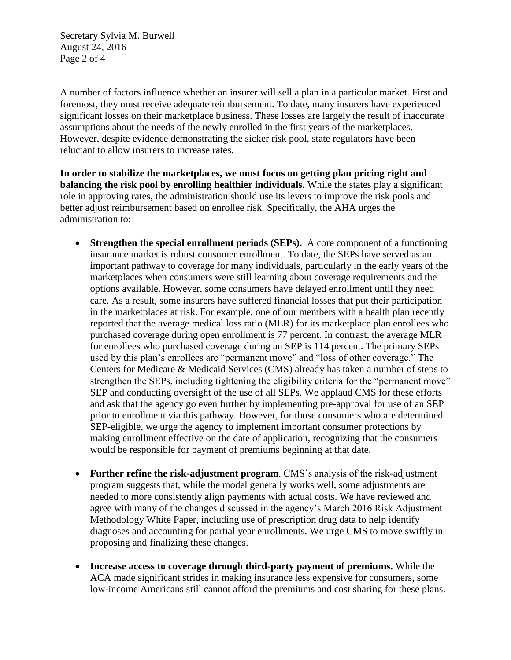Secretary Sylvia M. Burwell August 24, 2016 Page 2 of 4

A number of factors influence whether an insurer will sell a plan in a particular market. First and foremost, they must receive adequate reimbursement. To date, many insurers have experienced significant losses on their marketplace business. These losses are largely the result of inaccurate assumptions about the needs of the newly enrolled in the first years of the marketplaces. However, despite evidence demonstrating the sicker risk pool, state regulators have been reluctant to allow insurers to increase rates.

**In order to stabilize the marketplaces, we must focus on getting plan pricing right and balancing the risk pool by enrolling healthier individuals.** While the states play a significant role in approving rates, the administration should use its levers to improve the risk pools and better adjust reimbursement based on enrollee risk. Specifically, the AHA urges the administration to:

- **Strengthen the special enrollment periods (SEPs).** A core component of a functioning insurance market is robust consumer enrollment. To date, the SEPs have served as an important pathway to coverage for many individuals, particularly in the early years of the marketplaces when consumers were still learning about coverage requirements and the options available. However, some consumers have delayed enrollment until they need care. As a result, some insurers have suffered financial losses that put their participation in the marketplaces at risk. For example, one of our members with a health plan recently reported that the average medical loss ratio (MLR) for its marketplace plan enrollees who purchased coverage during open enrollment is 77 percent. In contrast, the average MLR for enrollees who purchased coverage during an SEP is 114 percent. The primary SEPs used by this plan's enrollees are "permanent move" and "loss of other coverage." The Centers for Medicare & Medicaid Services (CMS) already has taken a number of steps to strengthen the SEPs, including tightening the eligibility criteria for the "permanent move" SEP and conducting oversight of the use of all SEPs. We applaud CMS for these efforts and ask that the agency go even further by implementing pre-approval for use of an SEP prior to enrollment via this pathway. However, for those consumers who are determined SEP-eligible, we urge the agency to implement important consumer protections by making enrollment effective on the date of application, recognizing that the consumers would be responsible for payment of premiums beginning at that date.
- **Further refine the risk-adjustment program**. CMS's analysis of the risk-adjustment program suggests that, while the model generally works well, some adjustments are needed to more consistently align payments with actual costs. We have reviewed and agree with many of the changes discussed in the agency's March 2016 Risk Adjustment Methodology White Paper, including use of prescription drug data to help identify diagnoses and accounting for partial year enrollments. We urge CMS to move swiftly in proposing and finalizing these changes.
- **Increase access to coverage through third-party payment of premiums.** While the ACA made significant strides in making insurance less expensive for consumers, some low-income Americans still cannot afford the premiums and cost sharing for these plans.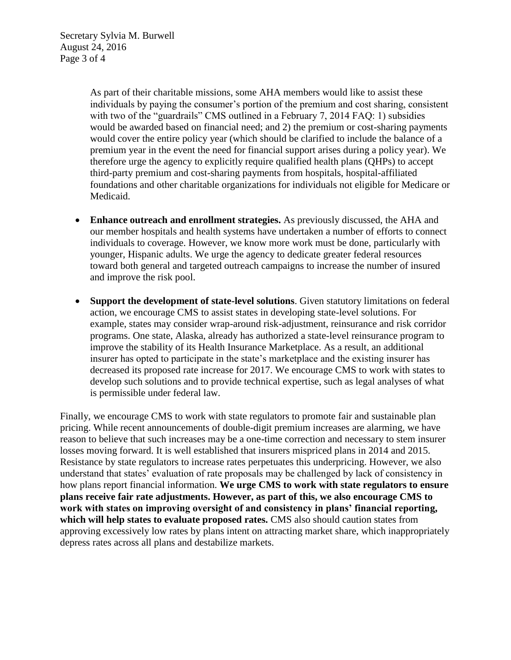As part of their charitable missions, some AHA members would like to assist these individuals by paying the consumer's portion of the premium and cost sharing, consistent with two of the "guardrails" CMS outlined in a February 7, 2014 FAO: 1) subsidies would be awarded based on financial need; and 2) the premium or cost-sharing payments would cover the entire policy year (which should be clarified to include the balance of a premium year in the event the need for financial support arises during a policy year). We therefore urge the agency to explicitly require qualified health plans (QHPs) to accept third-party premium and cost-sharing payments from hospitals, hospital-affiliated foundations and other charitable organizations for individuals not eligible for Medicare or Medicaid.

- **Enhance outreach and enrollment strategies.** As previously discussed, the AHA and our member hospitals and health systems have undertaken a number of efforts to connect individuals to coverage. However, we know more work must be done, particularly with younger, Hispanic adults. We urge the agency to dedicate greater federal resources toward both general and targeted outreach campaigns to increase the number of insured and improve the risk pool.
- **Support the development of state-level solutions**. Given statutory limitations on federal action, we encourage CMS to assist states in developing state-level solutions. For example, states may consider wrap-around risk-adjustment, reinsurance and risk corridor programs. One state, Alaska, already has authorized a state-level reinsurance program to improve the stability of its Health Insurance Marketplace. As a result, an additional insurer has opted to participate in the state's marketplace and the existing insurer has decreased its proposed rate increase for 2017. We encourage CMS to work with states to develop such solutions and to provide technical expertise, such as legal analyses of what is permissible under federal law.

Finally, we encourage CMS to work with state regulators to promote fair and sustainable plan pricing. While recent announcements of double-digit premium increases are alarming, we have reason to believe that such increases may be a one-time correction and necessary to stem insurer losses moving forward. It is well established that insurers mispriced plans in 2014 and 2015. Resistance by state regulators to increase rates perpetuates this underpricing. However, we also understand that states' evaluation of rate proposals may be challenged by lack of consistency in how plans report financial information. **We urge CMS to work with state regulators to ensure plans receive fair rate adjustments. However, as part of this, we also encourage CMS to work with states on improving oversight of and consistency in plans' financial reporting, which will help states to evaluate proposed rates.** CMS also should caution states from approving excessively low rates by plans intent on attracting market share, which inappropriately depress rates across all plans and destabilize markets.